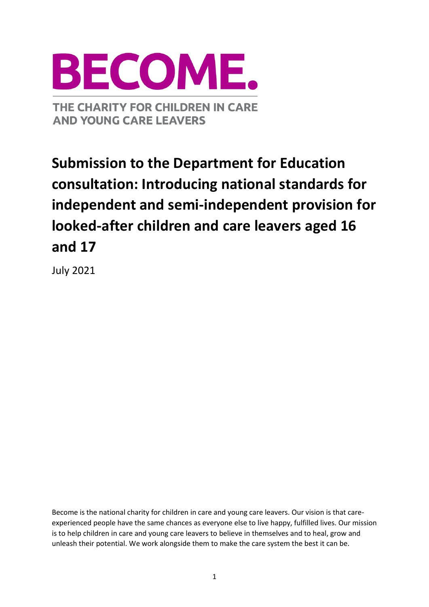

# **Submission to the Department for Education consultation: Introducing national standards for independent and semi-independent provision for looked-after children and care leavers aged 16 and 17**

July 2021

Become is the national charity for children in care and young care leavers. Our vision is that careexperienced people have the same chances as everyone else to live happy, fulfilled lives. Our mission is to help children in care and young care leavers to believe in themselves and to heal, grow and unleash their potential. We work alongside them to make the care system the best it can be.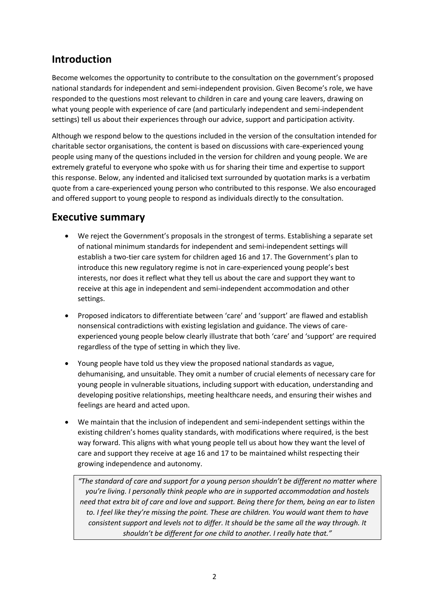# **Introduction**

Become welcomes the opportunity to contribute to the consultation on the government's proposed national standards for independent and semi-independent provision. Given Become's role, we have responded to the questions most relevant to children in care and young care leavers, drawing on what young people with experience of care (and particularly independent and semi-independent settings) tell us about their experiences through our advice, support and participation activity.

Although we respond below to the questions included in the version of the consultation intended for charitable sector organisations, the content is based on discussions with care-experienced young people using many of the questions included in the version for children and young people. We are extremely grateful to everyone who spoke with us for sharing their time and expertise to support this response. Below, any indented and italicised text surrounded by quotation marks is a verbatim quote from a care-experienced young person who contributed to this response. We also encouraged and offered support to young people to respond as individuals directly to the consultation.

### **Executive summary**

- We reject the Government's proposals in the strongest of terms. Establishing a separate set of national minimum standards for independent and semi-independent settings will establish a two-tier care system for children aged 16 and 17. The Government's plan to introduce this new regulatory regime is not in care-experienced young people's best interests, nor does it reflect what they tell us about the care and support they want to receive at this age in independent and semi-independent accommodation and other settings.
- Proposed indicators to differentiate between 'care' and 'support' are flawed and establish nonsensical contradictions with existing legislation and guidance. The views of careexperienced young people below clearly illustrate that both 'care' and 'support' are required regardless of the type of setting in which they live.
- Young people have told us they view the proposed national standards as vague, dehumanising, and unsuitable. They omit a number of crucial elements of necessary care for young people in vulnerable situations, including support with education, understanding and developing positive relationships, meeting healthcare needs, and ensuring their wishes and feelings are heard and acted upon.
- We maintain that the inclusion of independent and semi-independent settings within the existing children's homes quality standards, with modifications where required, is the best way forward. This aligns with what young people tell us about how they want the level of care and support they receive at age 16 and 17 to be maintained whilst respecting their growing independence and autonomy.

*"The standard of care and support for a young person shouldn't be different no matter where you're living. I personally think people who are in supported accommodation and hostels need that extra bit of care and love and support. Being there for them, being an ear to listen to. I feel like they're missing the point. These are children. You would want them to have consistent support and levels not to differ. It should be the same all the way through. It shouldn't be different for one child to another. I really hate that."*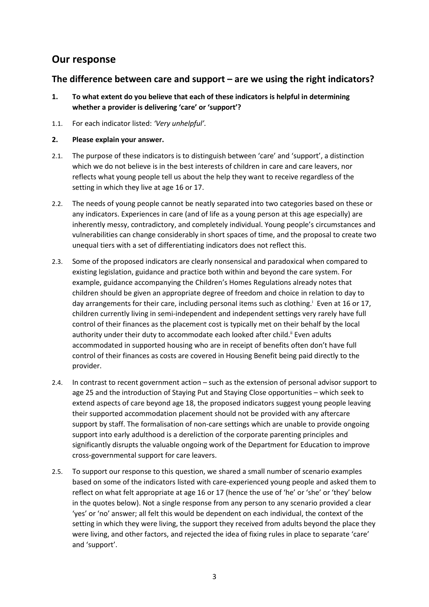### **Our response**

### **The difference between care and support – are we using the right indicators?**

- **1. To what extent do you believe that each of these indicators is helpful in determining whether a provider is delivering 'care' or 'support'?**
- 1.1. For each indicator listed: *'Very unhelpful'.*
- **2. Please explain your answer.**
- 2.1. The purpose of these indicators is to distinguish between 'care' and 'support', a distinction which we do not believe is in the best interests of children in care and care leavers, nor reflects what young people tell us about the help they want to receive regardless of the setting in which they live at age 16 or 17.
- 2.2. The needs of young people cannot be neatly separated into two categories based on these or any indicators. Experiences in care (and of life as a young person at this age especially) are inherently messy, contradictory, and completely individual. Young people's circumstances and vulnerabilities can change considerably in short spaces of time, and the proposal to create two unequal tiers with a set of differentiating indicators does not reflect this.
- 2.3. Some of the proposed indicators are clearly nonsensical and paradoxical when compared to existing legislation, guidance and practice both within and beyond the care system. For example, guidance accompanying the Children's Homes Regulations already notes that children should be given an appropriate degree of freedom and choice in relation to day to day arrangements for their care, including personal items such as clothing.<sup>i</sup> Even at 16 or 17, children currently living in semi-independent and independent settings very rarely have full control of their finances as the placement cost is typically met on their behalf by the local authority under their duty to accommodate each looked after child.<sup>ii</sup> Even adults accommodated in supported housing who are in receipt of benefits often don't have full control of their finances as costs are covered in Housing Benefit being paid directly to the provider.
- 2.4. In contrast to recent government action such as the extension of personal advisor support to age 25 and the introduction of Staying Put and Staying Close opportunities – which seek to extend aspects of care beyond age 18, the proposed indicators suggest young people leaving their supported accommodation placement should not be provided with any aftercare support by staff. The formalisation of non-care settings which are unable to provide ongoing support into early adulthood is a dereliction of the corporate parenting principles and significantly disrupts the valuable ongoing work of the Department for Education to improve cross-governmental support for care leavers.
- 2.5. To support our response to this question, we shared a small number of scenario examples based on some of the indicators listed with care-experienced young people and asked them to reflect on what felt appropriate at age 16 or 17 (hence the use of 'he' or 'she' or 'they' below in the quotes below). Not a single response from any person to any scenario provided a clear 'yes' or 'no' answer; all felt this would be dependent on each individual, the context of the setting in which they were living, the support they received from adults beyond the place they were living, and other factors, and rejected the idea of fixing rules in place to separate 'care' and 'support'.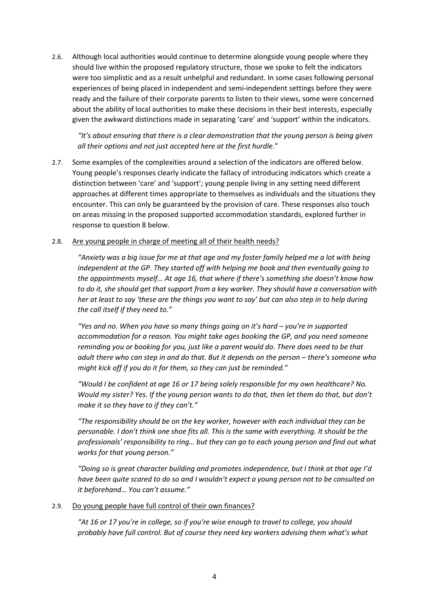2.6. Although local authorities would continue to determine alongside young people where they should live within the proposed regulatory structure, those we spoke to felt the indicators were too simplistic and as a result unhelpful and redundant. In some cases following personal experiences of being placed in independent and semi-independent settings before they were ready and the failure of their corporate parents to listen to their views, some were concerned about the ability of local authorities to make these decisions in their best interests, especially given the awkward distinctions made in separating 'care' and 'support' within the indicators.

*"It's about ensuring that there is a clear demonstration that the young person is being given all their options and not just accepted here at the first hurdle*."

2.7. Some examples of the complexities around a selection of the indicators are offered below. Young people's responses clearly indicate the fallacy of introducing indicators which create a distinction between 'care' and 'support'; young people living in any setting need different approaches at different times appropriate to themselves as individuals and the situations they encounter. This can only be guaranteed by the provision of care. These responses also touch on areas missing in the proposed supported accommodation standards, explored further in response to question 8 below.

#### 2.8. Are young people in charge of meeting all of their health needs?

"Anxiety was a big issue for me at that age and my foster family helped me a lot with being *independent at the GP. They started off with helping me book and then eventually going to the appointments myself… At age 16, that where if there's something she doesn't know how to do it, she should get that support from a key worker. They should have a conversation with her at least to say 'these are the things you want to say' but can also step in to help during the call itself if they need to."*

*"Yes and no. When you have so many things going on it's hard – you're in supported accommodation for a reason. You might take ages booking the GP, and you need someone reminding you or booking for you, just like a parent would do. There does need to be that adult there who can step in and do that. But it depends on the person – there's someone who might kick off if you do it for them, so they can just be reminded."*

*"Would I be confident at age 16 or 17 being solely responsible for my own healthcare? No. Would my sister? Yes. If the young person wants to do that, then let them do that, but don't make it so they have to if they can't."*

*"The responsibility should be on the key worker, however with each individual they can be personable. I don't think one shoe fits all. This is the same with everything. It should be the professionals' responsibility to ring… but they can go to each young person and find out what works for that young person."*

*"Doing so is great character building and promotes independence, but I think at that age I'd have been quite scared to do so and I wouldn't expect a young person not to be consulted on it beforehand… You can't assume."*

#### 2.9. Do young people have full control of their own finances?

*"At 16 or 17 you're in college, so if you're wise enough to travel to college, you should probably have full control. But of course they need key workers advising them what's what*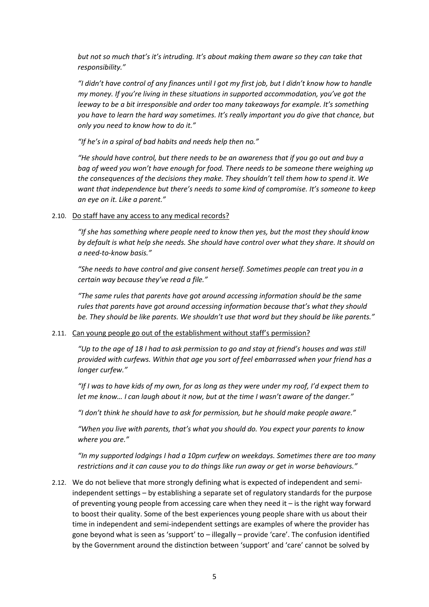*but not so much that's it's intruding. It's about making them aware so they can take that responsibility."*

*"I didn't have control of any finances until I got my first job, but I didn't know how to handle my money. If you're living in these situations in supported accommodation, you've got the leeway to be a bit irresponsible and order too many takeaways for example. It's something you have to learn the hard way sometimes. It's really important you do give that chance, but only you need to know how to do it."*

*"If he's in a spiral of bad habits and needs help then no."*

*"He should have control, but there needs to be an awareness that if you go out and buy a bag of weed you won't have enough for food. There needs to be someone there weighing up the consequences of the decisions they make. They shouldn't tell them how to spend it. We want that independence but there's needs to some kind of compromise. It's someone to keep an eye on it. Like a parent."*

#### 2.10. Do staff have any access to any medical records?

*"If she has something where people need to know then yes, but the most they should know by default is what help she needs. She should have control over what they share. It should on a need-to-know basis."*

*"She needs to have control and give consent herself. Sometimes people can treat you in a certain way because they've read a file."*

*"The same rules that parents have got around accessing information should be the same rules that parents have got around accessing information because that's what they should be. They should be like parents. We shouldn't use that word but they should be like parents."*

#### 2.11. Can young people go out of the establishment without staff's permission?

*"Up to the age of 18 I had to ask permission to go and stay at friend's houses and was still provided with curfews. Within that age you sort of feel embarrassed when your friend has a longer curfew."*

*"If I was to have kids of my own, for as long as they were under my roof, I'd expect them to let me know… I can laugh about it now, but at the time I wasn't aware of the danger."*

*"I don't think he should have to ask for permission, but he should make people aware."*

*"When you live with parents, that's what you should do. You expect your parents to know where you are."*

*"In my supported lodgings I had a 10pm curfew on weekdays. Sometimes there are too many restrictions and it can cause you to do things like run away or get in worse behaviours."*

2.12. We do not believe that more strongly defining what is expected of independent and semiindependent settings – by establishing a separate set of regulatory standards for the purpose of preventing young people from accessing care when they need it – is the right way forward to boost their quality. Some of the best experiences young people share with us about their time in independent and semi-independent settings are examples of where the provider has gone beyond what is seen as 'support' to – illegally – provide 'care'. The confusion identified by the Government around the distinction between 'support' and 'care' cannot be solved by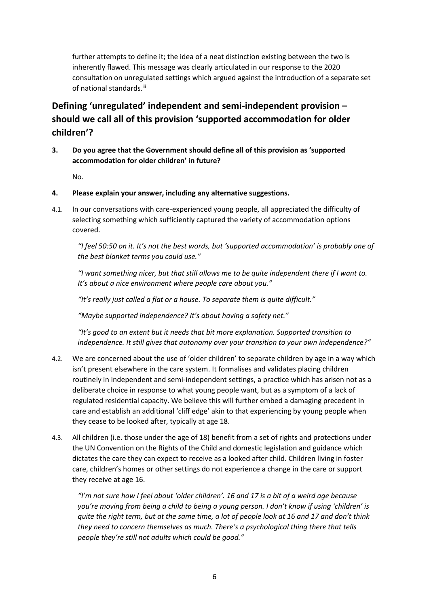further attempts to define it; the idea of a neat distinction existing between the two is inherently flawed. This message was clearly articulated in our response to the 2020 consultation on unregulated settings which argued against the introduction of a separate set of national standards.<sup>iii</sup>

# **Defining 'unregulated' independent and semi-independent provision – should we call all of this provision 'supported accommodation for older children'?**

**3. Do you agree that the Government should define all of this provision as 'supported accommodation for older children' in future?**

No.

- **4. Please explain your answer, including any alternative suggestions.**
- 4.1. In our conversations with care-experienced young people, all appreciated the difficulty of selecting something which sufficiently captured the variety of accommodation options covered.

*"I feel 50:50 on it. It's not the best words, but 'supported accommodation' is probably one of the best blanket terms you could use."*

*"I want something nicer, but that still allows me to be quite independent there if I want to. It's about a nice environment where people care about you."*

*"It's really just called a flat or a house. To separate them is quite difficult."*

*"Maybe supported independence? It's about having a safety net."*

*"It's good to an extent but it needs that bit more explanation. Supported transition to independence. It still gives that autonomy over your transition to your own independence?"*

- 4.2. We are concerned about the use of 'older children' to separate children by age in a way which isn't present elsewhere in the care system. It formalises and validates placing children routinely in independent and semi-independent settings, a practice which has arisen not as a deliberate choice in response to what young people want, but as a symptom of a lack of regulated residential capacity. We believe this will further embed a damaging precedent in care and establish an additional 'cliff edge' akin to that experiencing by young people when they cease to be looked after, typically at age 18.
- 4.3. All children (i.e. those under the age of 18) benefit from a set of rights and protections under the UN Convention on the Rights of the Child and domestic legislation and guidance which dictates the care they can expect to receive as a looked after child. Children living in foster care, children's homes or other settings do not experience a change in the care or support they receive at age 16.

*"I'm not sure how I feel about 'older children'. 16 and 17 is a bit of a weird age because you're moving from being a child to being a young person. I don't know if using 'children' is quite the right term, but at the same time, a lot of people look at 16 and 17 and don't think they need to concern themselves as much. There's a psychological thing there that tells people they're still not adults which could be good."*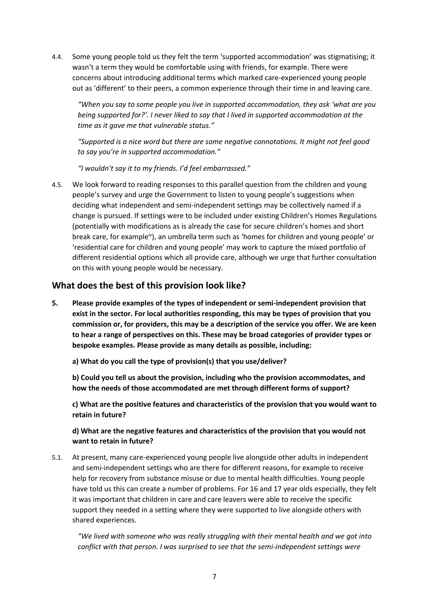4.4. Some young people told us they felt the term 'supported accommodation' was stigmatising; it wasn't a term they would be comfortable using with friends, for example. There were concerns about introducing additional terms which marked care-experienced young people out as 'different' to their peers, a common experience through their time in and leaving care.

*"When you say to some people you live in supported accommodation, they ask 'what are you being supported for?'. I never liked to say that I lived in supported accommodation at the time as it gave me that vulnerable status."*

*"Supported is a nice word but there are some negative connotations. It might not feel good to say you're in supported accommodation."*

*"I wouldn't say it to my friends. I'd feel embarrassed."*

4.5. We look forward to reading responses to this parallel question from the children and young people's survey and urge the Government to listen to young people's suggestions when deciding what independent and semi-independent settings may be collectively named if a change is pursued. If settings were to be included under existing Children's Homes Regulations (potentially with modifications as is already the case for secure children's homes and short break care, for example<sup>iv</sup>), an umbrella term such as 'homes for children and young people' or 'residential care for children and young people' may work to capture the mixed portfolio of different residential options which all provide care, although we urge that further consultation on this with young people would be necessary.

#### **What does the best of this provision look like?**

**5. Please provide examples of the types of independent or semi-independent provision that exist in the sector. For local authorities responding, this may be types of provision that you commission or, for providers, this may be a description of the service you offer. We are keen to hear a range of perspectives on this. These may be broad categories of provider types or bespoke examples. Please provide as many details as possible, including:**

**a) What do you call the type of provision(s) that you use/deliver?** 

**b) Could you tell us about the provision, including who the provision accommodates, and how the needs of those accommodated are met through different forms of support?**

**c) What are the positive features and characteristics of the provision that you would want to retain in future?**

**d) What are the negative features and characteristics of the provision that you would not want to retain in future?**

5.1. At present, many care-experienced young people live alongside other adults in independent and semi-independent settings who are there for different reasons, for example to receive help for recovery from substance misuse or due to mental health difficulties. Young people have told us this can create a number of problems. For 16 and 17 year olds especially, they felt it was important that children in care and care leavers were able to receive the specific support they needed in a setting where they were supported to live alongside others with shared experiences.

*"We lived with someone who was really struggling with their mental health and we got into conflict with that person. I was surprised to see that the semi-independent settings were*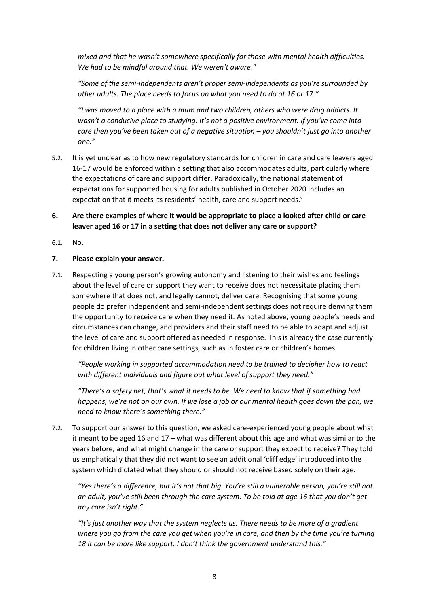*mixed and that he wasn't somewhere specifically for those with mental health difficulties. We had to be mindful around that. We weren't aware."*

*"Some of the semi-independents aren't proper semi-independents as you're surrounded by other adults. The place needs to focus on what you need to do at 16 or 17."*

*"I was moved to a place with a mum and two children, others who were drug addicts. It wasn't a conducive place to studying. It's not a positive environment. If you've come into care then you've been taken out of a negative situation – you shouldn't just go into another one."*

- 5.2. It is yet unclear as to how new regulatory standards for children in care and care leavers aged 16-17 would be enforced within a setting that also accommodates adults, particularly where the expectations of care and support differ. Paradoxically, the national statement of expectations for supported housing for adults published in October 2020 includes an expectation that it meets its residents' health, care and support needs.<sup>v</sup>
- **6. Are there examples of where it would be appropriate to place a looked after child or care leaver aged 16 or 17 in a setting that does not deliver any care or support?**
- 6.1. No.

#### **7. Please explain your answer.**

7.1. Respecting a young person's growing autonomy and listening to their wishes and feelings about the level of care or support they want to receive does not necessitate placing them somewhere that does not, and legally cannot, deliver care. Recognising that some young people do prefer independent and semi-independent settings does not require denying them the opportunity to receive care when they need it. As noted above, young people's needs and circumstances can change, and providers and their staff need to be able to adapt and adjust the level of care and support offered as needed in response. This is already the case currently for children living in other care settings, such as in foster care or children's homes.

*"People working in supported accommodation need to be trained to decipher how to react with different individuals and figure out what level of support they need."*

*"There's a safety net, that's what it needs to be. We need to know that if something bad happens, we're not on our own. If we lose a job or our mental health goes down the pan, we need to know there's something there."*

7.2. To support our answer to this question, we asked care-experienced young people about what it meant to be aged 16 and 17 – what was different about this age and what was similar to the years before, and what might change in the care or support they expect to receive? They told us emphatically that they did not want to see an additional 'cliff edge' introduced into the system which dictated what they should or should not receive based solely on their age.

*"Yes there's a difference, but it's not that big. You're still a vulnerable person, you're still not an adult, you've still been through the care system. To be told at age 16 that you don't get any care isn't right."*

*"It's just another way that the system neglects us. There needs to be more of a gradient where you go from the care you get when you're in care, and then by the time you're turning 18 it can be more like support. I don't think the government understand this."*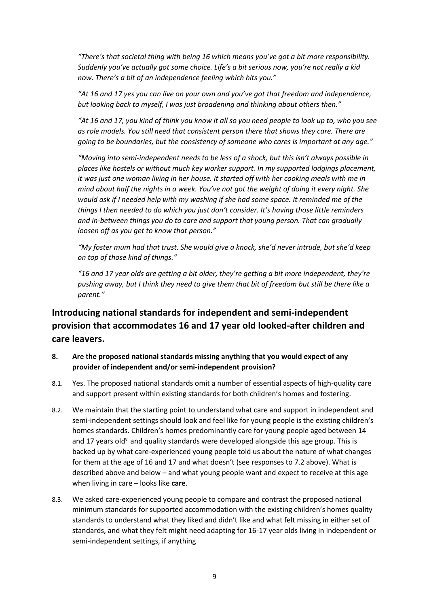*"There's that societal thing with being 16 which means you've got a bit more responsibility. Suddenly you've actually got some choice. Life's a bit serious now, you're not really a kid now. There's a bit of an independence feeling which hits you."*

*"At 16 and 17 yes you can live on your own and you've got that freedom and independence, but looking back to myself, I was just broadening and thinking about others then."*

*"At 16 and 17, you kind of think you know it all so you need people to look up to, who you see as role models. You still need that consistent person there that shows they care. There are going to be boundaries, but the consistency of someone who cares is important at any age."*

*"Moving into semi-independent needs to be less of a shock, but this isn't always possible in places like hostels or without much key worker support. In my supported lodgings placement, it was just one woman living in her house. It started off with her cooking meals with me in mind about half the nights in a week. You've not got the weight of doing it every night. She would ask if I needed help with my washing if she had some space. It reminded me of the things I then needed to do which you just don't consider. It's having those little reminders and in-between things you do to care and support that young person. That can gradually loosen off as you get to know that person."*

*"My foster mum had that trust. She would give a knock, she'd never intrude, but she'd keep on top of those kind of things."*

*"16 and 17 year olds are getting a bit older, they're getting a bit more independent, they're pushing away, but I think they need to give them that bit of freedom but still be there like a parent."*

### **Introducing national standards for independent and semi-independent provision that accommodates 16 and 17 year old looked-after children and care leavers.**

- **8. Are the proposed national standards missing anything that you would expect of any provider of independent and/or semi-independent provision?**
- 8.1. Yes. The proposed national standards omit a number of essential aspects of high-quality care and support present within existing standards for both children's homes and fostering.
- 8.2. We maintain that the starting point to understand what care and support in independent and semi-independent settings should look and feel like for young people is the existing children's homes standards. Children's homes predominantly care for young people aged between 14 and 17 years old<sup>vi</sup> and quality standards were developed alongside this age group. This is backed up by what care-experienced young people told us about the nature of what changes for them at the age of 16 and 17 and what doesn't (see responses to 7.2 above). What is described above and below – and what young people want and expect to receive at this age when living in care – looks like **care**.
- 8.3. We asked care-experienced young people to compare and contrast the proposed national minimum standards for supported accommodation with the existing children's homes quality standards to understand what they liked and didn't like and what felt missing in either set of standards, and what they felt might need adapting for 16-17 year olds living in independent or semi-independent settings, if anything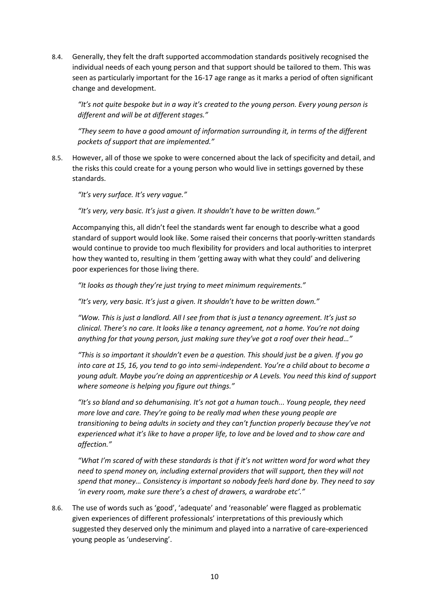8.4. Generally, they felt the draft supported accommodation standards positively recognised the individual needs of each young person and that support should be tailored to them. This was seen as particularly important for the 16-17 age range as it marks a period of often significant change and development.

*"It's not quite bespoke but in a way it's created to the young person. Every young person is different and will be at different stages."*

*"They seem to have a good amount of information surrounding it, in terms of the different pockets of support that are implemented."*

8.5. However, all of those we spoke to were concerned about the lack of specificity and detail, and the risks this could create for a young person who would live in settings governed by these standards.

*"It's very surface. It's very vague."*

*"It's very, very basic. It's just a given. It shouldn't have to be written down."*

Accompanying this, all didn't feel the standards went far enough to describe what a good standard of support would look like. Some raised their concerns that poorly-written standards would continue to provide too much flexibility for providers and local authorities to interpret how they wanted to, resulting in them 'getting away with what they could' and delivering poor experiences for those living there.

*"It looks as though they're just trying to meet minimum requirements."*

*"It's very, very basic. It's just a given. It shouldn't have to be written down."*

*"Wow. This is just a landlord. All I see from that is just a tenancy agreement. It's just so clinical. There's no care. It looks like a tenancy agreement, not a home. You're not doing anything for that young person, just making sure they've got a roof over their head…"*

*"This is so important it shouldn't even be a question. This should just be a given. If you go into care at 15, 16, you tend to go into semi-independent. You're a child about to become a young adult. Maybe you're doing an apprenticeship or A Levels. You need this kind of support where someone is helping you figure out things."*

*"It's so bland and so dehumanising. It's not got a human touch... Young people, they need more love and care. They're going to be really mad when these young people are transitioning to being adults in society and they can't function properly because they've not experienced what it's like to have a proper life, to love and be loved and to show care and affection."*

*"What I'm scared of with these standards is that if it's not written word for word what they need to spend money on, including external providers that will support, then they will not spend that money… Consistency is important so nobody feels hard done by. They need to say 'in every room, make sure there's a chest of drawers, a wardrobe etc'."*

8.6. The use of words such as 'good', 'adequate' and 'reasonable' were flagged as problematic given experiences of different professionals' interpretations of this previously which suggested they deserved only the minimum and played into a narrative of care-experienced young people as 'undeserving'.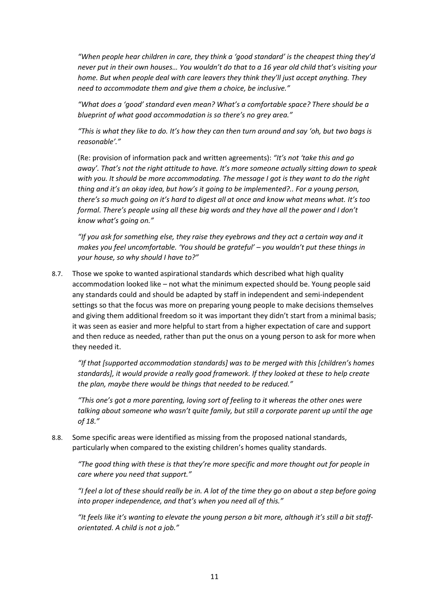*"When people hear children in care, they think a 'good standard' is the cheapest thing they'd never put in their own houses… You wouldn't do that to a 16 year old child that's visiting your home. But when people deal with care leavers they think they'll just accept anything. They need to accommodate them and give them a choice, be inclusive."*

*"What does a 'good' standard even mean? What's a comfortable space? There should be a blueprint of what good accommodation is so there's no grey area."*

*"This is what they like to do. It's how they can then turn around and say 'oh, but two bags is reasonable'."*

(Re: provision of information pack and written agreements): *"It's not 'take this and go away'. That's not the right attitude to have. It's more someone actually sitting down to speak with you. It should be more accommodating. The message I got is they want to do the right thing and it's an okay idea, but how's it going to be implemented?.. For a young person, there's so much going on it's hard to digest all at once and know what means what. It's too formal. There's people using all these big words and they have all the power and I don't know what's going on."*

*"If you ask for something else, they raise they eyebrows and they act a certain way and it makes you feel uncomfortable. 'You should be grateful' – you wouldn't put these things in your house, so why should I have to?"*

8.7. Those we spoke to wanted aspirational standards which described what high quality accommodation looked like – not what the minimum expected should be. Young people said any standards could and should be adapted by staff in independent and semi-independent settings so that the focus was more on preparing young people to make decisions themselves and giving them additional freedom so it was important they didn't start from a minimal basis; it was seen as easier and more helpful to start from a higher expectation of care and support and then reduce as needed, rather than put the onus on a young person to ask for more when they needed it.

*"If that [supported accommodation standards] was to be merged with this [children's homes standards], it would provide a really good framework. If they looked at these to help create the plan, maybe there would be things that needed to be reduced."*

*"This one's got a more parenting, loving sort of feeling to it whereas the other ones were talking about someone who wasn't quite family, but still a corporate parent up until the age of 18."*

8.8. Some specific areas were identified as missing from the proposed national standards, particularly when compared to the existing children's homes quality standards.

*"The good thing with these is that they're more specific and more thought out for people in care where you need that support."*

*"I feel a lot of these should really be in. A lot of the time they go on about a step before going into proper independence, and that's when you need all of this."*

*"It feels like it's wanting to elevate the young person a bit more, although it's still a bit stafforientated. A child is not a job."*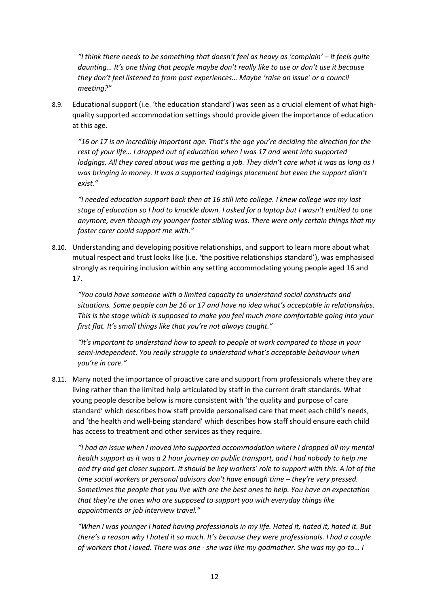*"I think there needs to be something that doesn't feel as heavy as 'complain' – it feels quite daunting… It's one thing that people maybe don't really like to use or don't use it because they don't feel listened to from past experiences… Maybe 'raise an issue' or a council meeting?"*

8.9. Educational support (i.e. 'the education standard') was seen as a crucial element of what highquality supported accommodation settings should provide given the importance of education at this age.

*"16 or 17 is an incredibly important age. That's the age you're deciding the direction for the rest of your life… I dropped out of education when I was 17 and went into supported lodgings. All they cared about was me getting a job. They didn't care what it was as long as I was bringing in money. It was a supported lodgings placement but even the support didn't exist."*

*"I needed education support back then at 16 still into college. I knew college was my last stage of education so I had to knuckle down. I asked for a laptop but I wasn't entitled to one anymore, even though my younger foster sibling was. There were only certain things that my foster carer could support me with."*

8.10. Understanding and developing positive relationships, and support to learn more about what mutual respect and trust looks like (i.e. 'the positive relationships standard'), was emphasised strongly as requiring inclusion within any setting accommodating young people aged 16 and 17.

*"You could have someone with a limited capacity to understand social constructs and situations. Some people can be 16 or 17 and have no idea what's acceptable in relationships. This is the stage which is supposed to make you feel much more comfortable going into your first flat. It's small things like that you're not always taught."*

*"It's important to understand how to speak to people at work compared to those in your semi-independent. You really struggle to understand what's acceptable behaviour when you're in care."*

8.11. Many noted the importance of proactive care and support from professionals where they are living rather than the limited help articulated by staff in the current draft standards. What young people describe below is more consistent with 'the quality and purpose of care standard' which describes how staff provide personalised care that meet each child's needs, and 'the health and well-being standard' which describes how staff should ensure each child has access to treatment and other services as they require.

*"I had an issue when I moved into supported accommodation where I dropped all my mental health support as it was a 2 hour journey on public transport, and I had nobody to help me and try and get closer support. It should be key workers' role to support with this. A lot of the time social workers or personal advisors don't have enough time – they're very pressed. Sometimes the people that you live with are the best ones to help. You have an expectation that they're the ones who are supposed to support you with everyday things like appointments or job interview travel."*

*"When I was younger I hated having professionals in my life. Hated it, hated it, hated it. But there's a reason why I hated it so much. It's because they were professionals. I had a couple of workers that I loved. There was one - she was like my godmother. She was my go-to… I*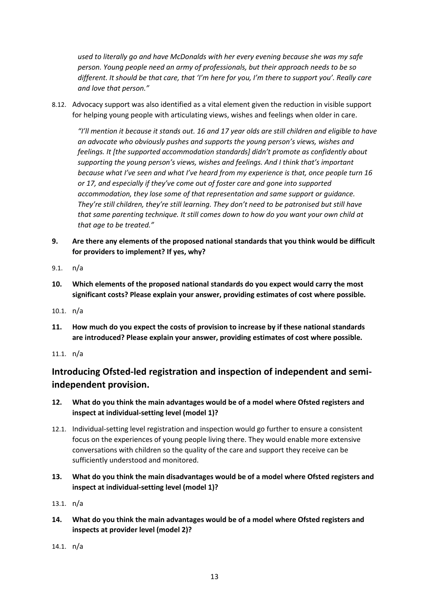*used to literally go and have McDonalds with her every evening because she was my safe person. Young people need an army of professionals, but their approach needs to be so different. It should be that care, that 'I'm here for you, I'm there to support you'. Really care and love that person."*

8.12. Advocacy support was also identified as a vital element given the reduction in visible support for helping young people with articulating views, wishes and feelings when older in care.

*"I'll mention it because it stands out. 16 and 17 year olds are still children and eligible to have an advocate who obviously pushes and supports the young person's views, wishes and feelings. It [the supported accommodation standards] didn't promote as confidently about supporting the young person's views, wishes and feelings. And I think that's important because what I've seen and what I've heard from my experience is that, once people turn 16 or 17, and especially if they've come out of foster care and gone into supported accommodation, they lose some of that representation and same support or guidance. They're still children, they're still learning. They don't need to be patronised but still have that same parenting technique. It still comes down to how do you want your own child at that age to be treated."*

- **9. Are there any elements of the proposed national standards that you think would be difficult for providers to implement? If yes, why?**
- 9.1. n/a
- **10. Which elements of the proposed national standards do you expect would carry the most significant costs? Please explain your answer, providing estimates of cost where possible.**
- 10.1. n/a
- **11. How much do you expect the costs of provision to increase by if these national standards are introduced? Please explain your answer, providing estimates of cost where possible.**
- 11.1. n/a

### **Introducing Ofsted-led registration and inspection of independent and semiindependent provision.**

- **12. What do you think the main advantages would be of a model where Ofsted registers and inspect at individual-setting level (model 1)?**
- 12.1. Individual-setting level registration and inspection would go further to ensure a consistent focus on the experiences of young people living there. They would enable more extensive conversations with children so the quality of the care and support they receive can be sufficiently understood and monitored.
- **13. What do you think the main disadvantages would be of a model where Ofsted registers and inspect at individual-setting level (model 1)?**
- 13.1. n/a
- **14. What do you think the main advantages would be of a model where Ofsted registers and inspects at provider level (model 2)?**

14.1. n/a